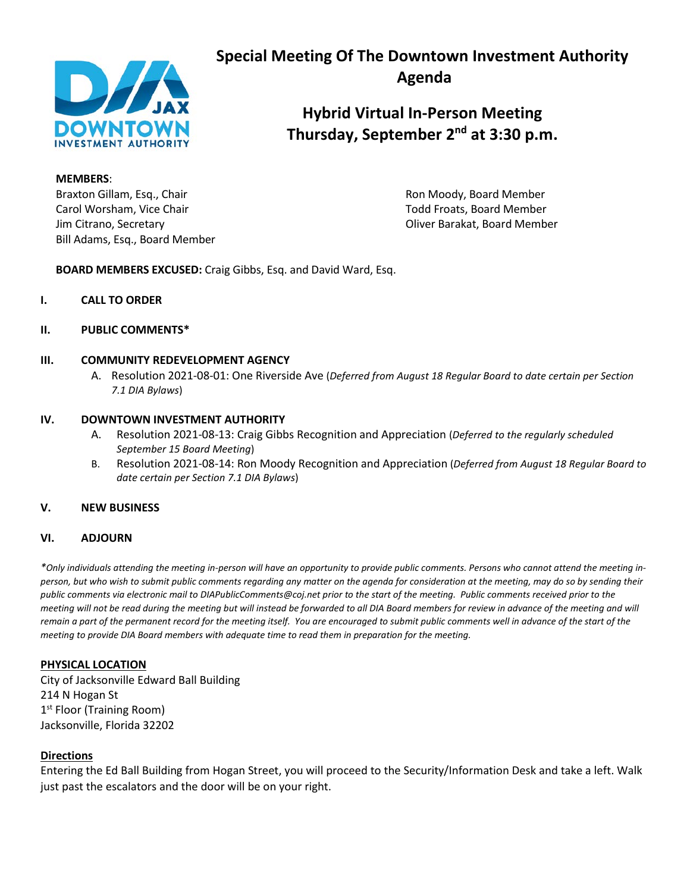

# **Special Meeting Of The Downtown Investment Authority Agenda**

**Hybrid Virtual In-Person Meeting Thursday, September 2nd at 3:30 p.m.**

**MEMBERS**:

Braxton Gillam, Esq., Chair **Ron Moody, Example 20** Ron Moody, Board Member Carol Worsham, Vice Chair Todd Froats, Board Member Jim Citrano, Secretary Oliver Barakat, Board Member Bill Adams, Esq., Board Member

**BOARD MEMBERS EXCUSED:** Craig Gibbs, Esq. and David Ward, Esq.

- **I. CALL TO ORDER**
- **II. PUBLIC COMMENTS\***

## **III. COMMUNITY REDEVELOPMENT AGENCY**

A. Resolution 2021-08-01: One Riverside Ave (*Deferred from August 18 Regular Board to date certain per Section 7.1 DIA Bylaws*)

## **IV. DOWNTOWN INVESTMENT AUTHORITY**

- A. Resolution 2021-08-13: Craig Gibbs Recognition and Appreciation (*Deferred to the regularly scheduled September 15 Board Meeting*)
- B. Resolution 2021-08-14: Ron Moody Recognition and Appreciation (*Deferred from August 18 Regular Board to date certain per Section 7.1 DIA Bylaws*)

# **V. NEW BUSINESS**

#### **VI. ADJOURN**

*\*Only individuals attending the meeting in-person will have an opportunity to provide public comments. Persons who cannot attend the meeting inperson, but who wish to submit public comments regarding any matter on the agenda for consideration at the meeting, may do so by sending their public comments via electronic mail to DIAPublicComments@coj.net prior to the start of the meeting. Public comments received prior to the*  meeting will not be read during the meeting but will instead be forwarded to all DIA Board members for review in advance of the meeting and will remain a part of the permanent record for the meeting itself. You are encouraged to submit public comments well in advance of the start of the *meeting to provide DIA Board members with adequate time to read them in preparation for the meeting.*

#### **PHYSICAL LOCATION**

City of Jacksonville Edward Ball Building 214 N Hogan St 1<sup>st</sup> Floor (Training Room) Jacksonville, Florida 32202

#### **Directions**

Entering the Ed Ball Building from Hogan Street, you will proceed to the Security/Information Desk and take a left. Walk just past the escalators and the door will be on your right.